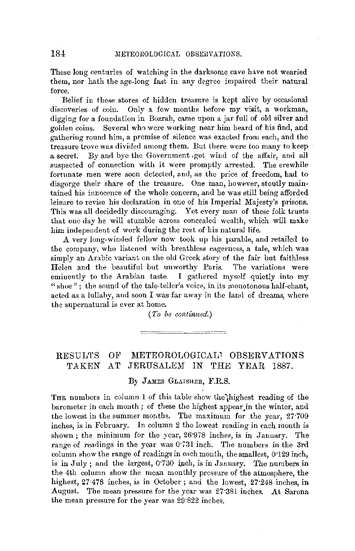These long centuries of watching in the darksome cave have not wearied them, nor hath the age-long fast in any degree impaired their natural force.

Belief in these stores of hidden treasure is kept alive by occasional discoveries of coin. Only a few months before my visit, a workman, digging for a foundation in Bozrah, came upon a jar full of old silver and golden coins. Several wh9 were working near him heard of his find, and gathering round him, a promise of silence was exacted from each, and the treasure trove was divided among them. But there were too many to keep a secret. By and bye the Government got wind of the affair, and all suspected of connection with it were promptly arrested. The erewhile fortunate men were soon detected, and, as the price of freedom, had to disgorge their share of the treasure. One man, however, stoutly maintained his innocence of the whole concern, and he was still being afforded leisure to revise his declaration in one of his Imperial Majesty's prisons. This was all decidedly discouraging. Yet every man of these folk trusts that one day he will stumble across concealed wealth, which will make him independent of work during the rest of his natural life.

A very long-winded fellow now took up his parable, and retailed to the company, who listened with breathless eagerness, a tale, which was simply an Arabic variant on the old Greek story of the fair but faithless Helen and the beautiful but unworthy Paris. The variations were eminently to the Arabian taste. I gathered myself quietly into my "shoe"; the sound of the tale-teller's voice, in its monotonous half-chant, acted as a lullaby, and soon I was far away in the land of dreams, where the supernatural is ever at home.

*(To be continued.)* 

# RESULTS OF METEOROLOGICAL1 OBSERVATIONS TAKEN AT JERUSALEM IN THE YEAR 1887.

## By JAMES GLAISHER, F.R.S.

THE numbers in column 1 of this table show the highest reading of the barometer in each month; of these the highest appear in the winter, and the lowest in the summer months. The maximum for the year, 27·709 inches, is in February. In column 2 the lowest reading in each month is shown; the minimum for the year, 26·978 inches, is in January. The range of readings in the year was  $0.731$  inch. The numbers in the 3rd column show the range of readings in each month, the smallest,  $0.129$  inch, is in July : and the largest, 0.730 inch, is in January. The numbers in the 4th column show the mean monthly pressure of the atmosphere, the highest, 27·478 inches, is in October; and the lowest, 27·248 inches, **in**  August. The mean pressure for the year was 27·381 inches. At Sarona the mean pressure for the year was 29·822 inches.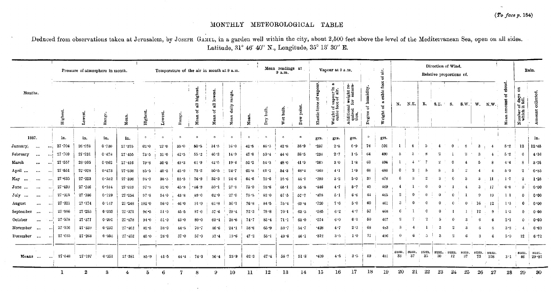$\mathbf{u}$ 

# MONTHLY METEOROLOGICAL TABLE

Deduced from observations taken at Jerusalem, by JOSEPH GAMEL, in a garden well within the city, about 2,500 feet above the level of the Mediterranean Sea, open on all sides. Latitude, 31° 46' 40" N., Longitude, 35° 13' 30" E.

|                        |           |            | Pressure of atmosphere in month. |       |            | Temperature of the air in month at 9 a.m. |          |          |                  |              |                        |          | Mean readings at<br>9a.m. |           |           | Vapour at 9 a.m.             |                                           |                                                      | air.<br>ð,               |                                 | Direction of Wind.<br>Relative proportions of. |                       |         |                 |        |            |                  |               | Rain.   |                                                                                                                                                                                                                                     |                   |
|------------------------|-----------|------------|----------------------------------|-------|------------|-------------------------------------------|----------|----------|------------------|--------------|------------------------|----------|---------------------------|-----------|-----------|------------------------------|-------------------------------------------|------------------------------------------------------|--------------------------|---------------------------------|------------------------------------------------|-----------------------|---------|-----------------|--------|------------|------------------|---------------|---------|-------------------------------------------------------------------------------------------------------------------------------------------------------------------------------------------------------------------------------------|-------------------|
| Months.                |           | Highest    | Lowes                            | Range | Mean.      | Highest                                   | Lowest   | Range    | highest.<br>Mean | lowest.<br>듾 | ange.<br>daily<br>Mean | Mean     | Dry bulb.                 | Wet bulb. | Dew point | apour<br>ិ៍<br>Elastic force | Weight of vapour in<br>cubic foot of air. | Additional weight re-<br>quired for satura-<br>tion, | humidity.<br>범<br>Degree | cubic foot<br>ಹೆ<br>ដ<br>Weight | N.                                             | N.E.                  | Е.      | 8.E.            | S.     |            | $S.W.$ W. $N.W.$ |               | Mean    | g<br>Number of days of the series of the series of the series of the series of the series of the series of the series of the series of the series of the series of the series of the series of the series of the series of the seri |                   |
| 1887.                  |           | in.        | in.                              | in.   | in.        |                                           | $\Omega$ | $\circ$  |                  | $\circ$      |                        | $\circ$  | <b>O</b>                  | $\circ$   |           | grs.                         | <b>COLLEGE</b><br>grs.                    | grs.                                                 | $\circ$                  | <b>Contract</b><br>grs.         |                                                |                       |         |                 |        |            |                  |               |         |                                                                                                                                                                                                                                     | in.               |
| January<br>$\cdots$    | $\cdots$  | 27.708     | 26.978                           | 0.730 | 27.375     | $62 - 0$                                  | 27.0     | $35 - 0$ | 50.5             | 34.5         | 16.0                   | $42 - 5$ | $46 - 3$                  | 42.8      | 38.9      | $-237$                       | 2.8                                       | 0.9                                                  | 76                       | 501                             |                                                |                       |         |                 |        |            |                  |               | $5 - 2$ | 12                                                                                                                                                                                                                                  | 12.45             |
| February<br>$\cdots$   |           | 27 709     | $27 - 231$                       | 0.478 | 27.455     | 73.5                                      | $31 - 0$ | 42.5     | $55 - 2$         | $40-3$       | 14.9                   | 47.8     | 50.4                      | $44 - 6$  | $38 - 5$  | $-234$                       | 2.7                                       | 1.5                                                  | 64                       | 499                             |                                                |                       |         |                 |        |            |                  |               | $5 - 2$ | 6                                                                                                                                                                                                                                   | 4.16              |
| March<br>              |           | 27.557     | 26.995                           | 0.562 | 27.416     | $79 - 8$                                  | $30 - 5$ | 49.3     | 61.9             | $42-5$       | $19 - 4$               | $52.2$   | 54.3                      | 48.0      | 41.9      | $-265$                       | $3 - 0$                                   | 1.8                                                  | 63                       | 494                             |                                                |                       |         |                 |        |            |                  |               | 4.4     | 8                                                                                                                                                                                                                                   | 3.76              |
| April                  | $\ddotsc$ | 27:551     | $27 - 078$                       | 0.473 | $27 - 338$ | 85.5                                      | 40.5     | 45.0     | $75 - 2$         | $50 - 5$     | $24 - 7$               | 62.8     | $61 - 1$                  | 54.3      | $48 - 4$  | $-340$                       | $4 - 1$                                   | 1.9                                                  | 68                       | 486                             | 0                                              |                       |         |                 |        |            |                  |               | $5 - 9$ | o,                                                                                                                                                                                                                                  | 0.85              |
| $\cdots$<br>May        |           | $27 - 635$ | $27 - 253$                       | 0.382 | 27.398     | 94.0                                      | 38.5     | 55 5     | 76.9             | $52 - 3$     | 24.6                   | 64.6     | $70 - 6$                  | $55 - 6$  | $44 - 1$  | $-290$                       | $3\cdot 2$                                | 5.0                                                  | -39                      | 478                             |                                                |                       |         |                 |        |            |                  |               |         |                                                                                                                                                                                                                                     | 1.25              |
| <br>June               |           | $27 - 430$ | $27 - 246$                       | 0.184 | 27.319     | 97.8                                      | $52 - 0$ | 45.8     | $-86.9$          | $59-1$       | 27.8                   | 73 0     | 78.6                      | $65 - 1$  | 55.8      | .446                         | 4.7                                       | 5.7                                                  | 45                       | 469                             |                                                |                       |         |                 |        |            |                  |               | 0.8     |                                                                                                                                                                                                                                     | 0.00              |
| $\cdots$<br>July       |           | 27.315     | $27 - 186$                       | 0.129 | 27 254     | 97.8                                      | 54.0     | 43 8     | 89.0             | 62.0         | $27 - 0$               | 75.5     | $-82.0$                   | $67 - 5$  | 57.7      | -478                         | 5.1                                       | 6.6                                                  | 44                       | 465                             | $\boldsymbol{2}$                               |                       |         |                 |        |            |                  | 19            | 11      | $\Omega$                                                                                                                                                                                                                            | 0.00              |
| $\mathbf{r}$<br>August |           | 27 321     | $27 - 174$                       | 0.147 | 27 248     | $102 - 0$                                 | $56 - 0$ | 46.0     | $91 - 9$         | 61.8         | $30 - 1$               | $76 - 8$ | $84 - 5$                  | 75.4      | $69 - 4$  | $-720$                       | 7.6                                       | 5.0                                                  | 60                       | 461                             |                                                |                       |         |                 |        |            | $16\,$           | 12            | $1 - 3$ |                                                                                                                                                                                                                                     | 0.00              |
| <br>September          |           | 27:586     | $27 - 253$                       | 0.333 | $27 - 371$ |                                           | $51 - 0$ |          | 87.0             | $57 - 6$     | 29.4                   | 72.3     | $79 - 8$                  | 70.1      | 63 5      | $-585$                       | 6.2                                       | 4.7                                                  | 57                       | 468                             |                                                |                       |         |                 |        |            | $12 \,$          | -9            |         |                                                                                                                                                                                                                                     |                   |
| $\pm$ 10               | $\cdots$  | $27 - 578$ |                                  |       |            | $96 - 5$                                  |          | 45.5     |                  |              |                        |          |                           |           |           | -574                         |                                           | 6 - 1                                                | 50                       | 467                             |                                                |                       |         |                 |        |            |                  |               | 1.3     |                                                                                                                                                                                                                                     | 0 <sub>00</sub>   |
| October<br>$\cdots$    | $\cdots$  |            | $27 - 377$                       | 0.201 | $27 - 478$ | $94 - 0$                                  | $51 - 0$ | 43.0     | $89 - 0$         | $60 - 4$     | $28 - 6$               | 74.7     | 83 4                      | 71.1      | 63.0      |                              | $6 - 0$                                   |                                                      |                          |                                 |                                                |                       |         |                 |        |            |                  |               | $2 - 1$ |                                                                                                                                                                                                                                     | $0 - 00$          |
| November<br>$\ddotsc$  |           | $27 - 576$ | $27 - 339$                       | 0.237 | $27 - 462$ | $82\cdot 5$                               | 38.0     | 44.5     | $70 - 7$         | 46.6         | 24.1                   | 58.6     | $65 - 9$                  | 59.7      | 54.7      | -428                         | $4 - 7$                                   | 2.3                                                  | 68                       | 463                             | 3                                              |                       |         |                 |        |            |                  |               | $3 - 8$ |                                                                                                                                                                                                                                     | 0.60              |
| December<br>$\cdots$   |           | 27.615     | 27.263                           | 0.352 | 27.452     | $65 - 0$                                  | $28 - 0$ | $37 - 0$ | $57 - 0$         | $37 - 4$     | 19.6                   | $47 - 2$ | 53.1                      | 49.6      | 46.1      | $-312$                       | 3.5                                       | 1.0                                                  | -77                      | 496                             | €                                              | 6                     |         |                 |        |            |                  |               | 5.0     | 12                                                                                                                                                                                                                                  | 6.72              |
| Means                  |           | 27:548     | $27 - 197$                       | 0.351 | $27 - 381$ | $85 - 9$                                  | $41 - 5$ | 44.4     | .74.3            | $50 - 4$     | $23 - 9$               | $62 - 3$ | 67.4                      | 58.7      | 51.8      | $*409$                       | 4.5                                       | $3 - 5$                                              | 59                       | 481                             | 33                                             | sum jsum, sum.<br>-37 | 35      | sum. sum.<br>30 | $12\,$ | sum,<br>37 | sum.<br>73       | i sum.<br>108 | $3 - 1$ | sum.<br>46                                                                                                                                                                                                                          | sur.<br>$29 - 81$ |
|                        |           |            | 2                                | 3     |            | 5                                         | 6        |          | 8                | 9            | 10 <sup>°</sup>        | 11       | 12                        | 13        | 14        | 15                           | 16                                        | 17                                                   | 18                       | 19                              | 20                                             | 21                    | $^{22}$ | 23              | 24     | 25         | 26               | 27            | 28      | 29                                                                                                                                                                                                                                  | 30                |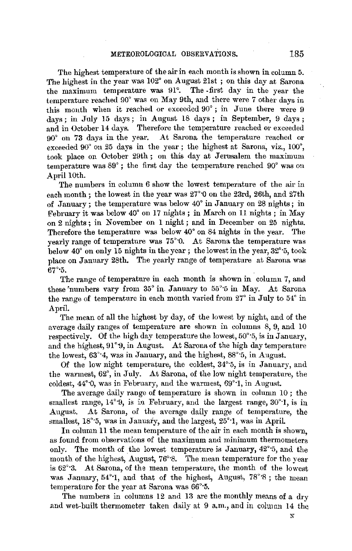The highest temperature of the air in each month is shown in column 5. The highest in the year was 102° on August 21st ; on this day at Sarona the maximum temperature was 91°. The .first day in the year the temperature reached 90° was on May 9th, and there were 7 other days in this month when it reached or exceeded  $90^\circ$ ; in June there were 9 days; in July 15 days; in August 18 days; in September, 9 days; and in October 14 days. Therefore the temperature reached or exceeded 90° on 73 days in the year. At Sarona the temperature reached or exceeded  $90^{\circ}$  on 25 days in the year; the highest at Sarona, viz.,  $100^{\circ}$ . took place on October 29th; on this day at Jerusalem the maximum temperature was 89° ; the first day the temperature reached 90° was on April 10th.

The numbers in column 6 show the lowest temperature of the air in each month ; the lowest in the year was 27°·0 on the 23rd, 26th, and 27th of .January; the temperature was below 40° **in** .January on 28 nights; in February it was below 40° on 17 nights ; **in** March on 11 nights ; in May on 2 nights; in November on 1 night; and in December on 25 nights. Therefore the temperature was below 40° on 84 nights in the year. The yearly range of temperature was 75°·0. At Sarona the temperature was below 40° on only 15 nights in the year ; the lowest in the year,  $32^{\circ}$  5, took place on January 28th. The yearly range of temperature at Sarona was  $67^\circ$ -5.

The range of temperature in each month is shown in column 7, and these 'numbers vary from 35° in. January to 55°·5 in May. At Sarona the range of temperature in each month varied from 27° in July to 54° in April.

The mean of all the highest by day, of the lowest by night, and of the average daily ranges of temperature are shown in columns 8, 9, and 10 respectively. Of the high day temperature the lowest, 50°·5, is in January, and the highest, 91°9, in August. At Sarona of the high day temperature the lowest,  $63^\circ 4$ , was in January, and the highest,  $88^\circ 5$ , in August.

Of the low night temperature, the coldest, 34°·5, is in January, and the warmest, 62°, in July. At Sarona, of the low night temperature, the coldest, 44°·0, was in February, and the warmest, 69°·1, in August.

The average daily range of temperature is shown in column 10 ; the smallest range,  $14^{\circ}$ ; 9, is in February, and the largest range,  $30^{\circ}$ ; 1, is in August. At Sarona, *oi* the average daily range of temperature, the smallest, 18°<sup>3</sup>, was in January, and the largest, 25°<sup>1</sup>, was in April.

In column 11 the mean temperature of the air in each month is shown. as found from observations of the maximum and minimum thermometers only. The month of the lowest temperature is January, 42°·5, and the month of the highest, August, 76°·8. The mean temperature for the year is 62'·3. At Sarona, of the mean temperature, the month of the lowest was January, 54°·1, and that of the highest, August, 78°·8; the mean temperature for the year at Sarona was 66°·5.

The numbers in columns 12 and 13 are the monthly means of a dry .and wet.built thermometer taken daily at 9 a.m., and in column 14 the

N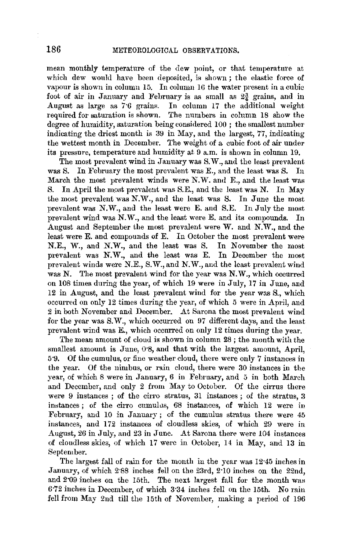mean monthly temperature of the dew point, or that temperature at which dew would have been deposited, is shown ; the elastic force of vapour is shown in column  $15$ . In column  $16$  the water present in a cubic foot of air in January and February is as small as 2¾ grains, and in August as large as 7·6 grains. In column 17 the additional weight required for saturation is shown. The numbers in column 18 show the degree of humidity, saturation being considered 100 ; the smallest number indicating the driest month is 39 in May, and the largest, 77, indicating the wettest month in December. The weight of a cubic foot of air under its pressure, temperature and humidity at 9 a.m. is shown in column 19.

The most prevalent wind in January was S. W., and the least prevalent was S. In February the most prevalent was E., and the least was S. In March the most prevalent winds were N.W. and E., and the least was S. In April the most prevalent was S.E., and the least was N. In May the most prevalent was N.W., and the least was S. In June the most prevalent was N.W., and the least were E. and S.E. In July the most prevalent wind was N.W., and the least were E. and its compounds. In August and September the most prevalent were W. and N.W., and the least were E. and compounds of E. In October the most prevalent were N.E., W., and N.W., and the least was S. In November the most prevalent was N.W., and the least was E. In December the most prevalent winds were N.E., S. W., and N. W., and the least prevalent wind was **N.** The most prevalent wind for the year was **N.W.,** which occurred on 108 times during the year, of which 19 were in July, 17 in June, and 12 in August, and the least prevalent wind for the year was S., which occurred on only 12 times during the year, of which 5 were in April, and 2 in both November and December. At Sarona the most prevalent wind for the year was S.W., which occurred on 97 different days, and the least prevalent wind was E., which occurred on only 12 times during the year.

The mean amount of cloud is shown in column 28 ; the month with the smallest amount is June, 0.8, and that with the largest amount, April, 5·9, Of the cumulus, or fine weather cloud, there were only 7 instances in the year. Of the nimbus, or rain cloud, there were 30 instances in the year, of which 8 were in January, 6 in February, and 5 in both March and December, and only 2 from May to October. Of the cirrus there were 9 instances ; of the cirro stratus, 31 instances ; of the stratus, 3 instances; of the cirro cumulus, 68 instances, of which 12 were in February, and 10 in January; of the cumulus stratus there were 45 instances, and 172 instances of cloudless skies, of which 29 were in August, 26 in July, and 23 in June. At Sarona there were 104 instances of cloudless skies, of which 17 were in October, 14 in May, and 13 in September.

The largest fall of rain for the month in the year was 12·45 inches in January, of which 2·88 inches fell on the 23rd, 2·10 inches on the 22nd, and 209 inches on the 15th. The next largest fall for the month was 6·72 inches in December, of which 3·34 inches fell on the 15th. No rain fell from May 2nd till the 15th of November, making a period of 196